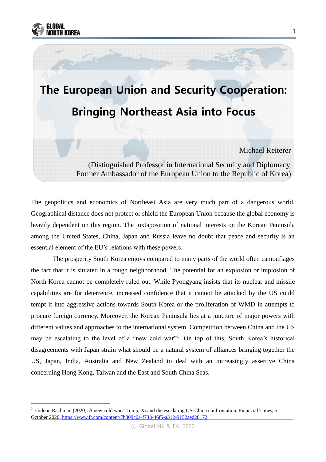

-

# The European Union and Security Cooperation: Bringing Northeast Asia into Focus

Michael Reiterer

(Distinguished Professor in International Security and Diplomacy, Former Ambassador of the European Union to the Republic of Korea)

The geopolitics and economics of Northeast Asia are very much part of a dangerous world. Geographical distance does not protect or shield the European Union because the global economy is heavily dependent on this region. The juxtaposition of national interests on the Korean Peninsula among the United States, China, Japan and Russia leave no doubt that peace and security is an essential element of the EU's relations with these powers.

The prosperity South Korea enjoys compared to many parts of the world often camouflages the fact that it is situated in a rough neighborhood. The potential for an explosion or implosion of North Korea cannot be completely ruled out. While Pyongyang insists that its nuclear and missile capabilities are for deterrence, increased confidence that it cannot be attacked by the US could tempt it into aggressive actions towards South Korea or the proliferation of WMD in attempts to procure foreign currency. Moreover, the Korean Peninsula lies at a juncture of major powers with different values and approaches to the international system. Competition between China and the US may be escalating to the level of a "new cold war"<sup>1</sup>. On top of this, South Korea's historical disagreements with Japan strain what should be a natural system of alliances bringing together the US, Japan, India, Australia and New Zealand to deal with an increasingly assertive China concerning Hong Kong, Taiwan and the East and South China Seas.

<sup>1</sup> Gideon Rachman (2020). A new cold war: Trump, Xi and the escalating US-China confrontation, Financial Times, 5 October 2020, <https://www.ft.com/content/7b809c6a-f733-46f5-a312-9152aed28172>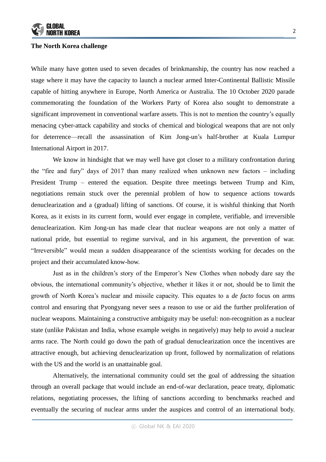

#### **The North Korea challenge**

While many have gotten used to seven decades of brinkmanship, the country has now reached a stage where it may have the capacity to launch a nuclear armed Inter-Continental Ballistic Missile capable of hitting anywhere in Europe, North America or Australia. The 10 October 2020 parade commemorating the foundation of the Workers Party of Korea also sought to demonstrate a significant improvement in conventional warfare assets. This is not to mention the country's equally menacing cyber-attack capability and stocks of chemical and biological weapons that are not only for deterrence—recall the assassination of Kim Jong-un's half-brother at Kuala Lumpur International Airport in 2017.

We know in hindsight that we may well have got closer to a military confrontation during the "fire and fury" days of 2017 than many realized when unknown new factors – including President Trump – entered the equation. Despite three meetings between Trump and Kim, negotiations remain stuck over the perennial problem of how to sequence actions towards denuclearization and a (gradual) lifting of sanctions. Of course, it is wishful thinking that North Korea, as it exists in its current form, would ever engage in complete, verifiable, and irreversible denuclearization. Kim Jong-un has made clear that nuclear weapons are not only a matter of national pride, but essential to regime survival, and in his argument, the prevention of war. "Irreversible" would mean a sudden disappearance of the scientists working for decades on the project and their accumulated know-how.

Just as in the children's story of the Emperor's New Clothes when nobody dare say the obvious, the international community's objective, whether it likes it or not, should be to limit the growth of North Korea's nuclear and missile capacity. This equates to a *de facto* focus on arms control and ensuring that Pyongyang never sees a reason to use or aid the further proliferation of nuclear weapons. Maintaining a constructive ambiguity may be useful: non-recognition as a nuclear state (unlike Pakistan and India, whose example weighs in negatively) may help to avoid a nuclear arms race. The North could go down the path of gradual denuclearization once the incentives are attractive enough, but achieving denuclearization up front, followed by normalization of relations with the US and the world is an unattainable goal.

Alternatively, the international community could set the goal of addressing the situation through an overall package that would include an end-of-war declaration, peace treaty, diplomatic relations, negotiating processes, the lifting of sanctions according to benchmarks reached and eventually the securing of nuclear arms under the auspices and control of an international body.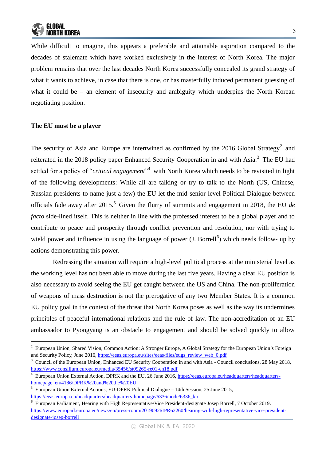While difficult to imagine, this appears a preferable and attainable aspiration compared to the decades of stalemate which have worked exclusively in the interest of North Korea. The major problem remains that over the last decades North Korea successfully concealed its grand strategy of what it wants to achieve, in case that there is one, or has masterfully induced permanent guessing of what it could be – an element of insecurity and ambiguity which underpins the North Korean negotiating position.

## **The EU must be a player**

-

The security of Asia and Europe are intertwined as confirmed by the 2016 Global Strategy<sup>2</sup> and reiterated in the 2018 policy paper Enhanced Security Cooperation in and with Asia.<sup>3</sup> The EU had settled for a policy of "*critical engagement*" with North Korea which needs to be revisited in light of the following developments: While all are talking or try to talk to the North (US, Chinese, Russian presidents to name just a few) the EU let the mid-senior level Political Dialogue between officials fade away after 2015.<sup>5</sup> Given the flurry of summits and engagement in 2018, the EU *de facto* side-lined itself. This is neither in line with the professed interest to be a global player and to contribute to peace and prosperity through conflict prevention and resolution, nor with trying to wield power and influence in using the language of power  $(I. Borrell<sup>6</sup>)$  which needs follow- up by actions demonstrating this power.

Redressing the situation will require a high-level political process at the ministerial level as the working level has not been able to move during the last five years. Having a clear EU position is also necessary to avoid seeing the EU get caught between the US and China. The non-proliferation of weapons of mass destruction is not the prerogative of any two Member States. It is a common EU policy goal in the context of the threat that North Korea poses as well as the way its undermines principles of peaceful international relations and the rule of law. The non-accreditation of an EU ambassador to Pyongyang is an obstacle to engagement and should be solved quickly to allow

 $2$  European Union, Shared Vision, Common Action: A Stronger Europe, A Global Strategy for the European Union's Foreign and Security Policy, June 2016, [https://eeas.europa.eu/sites/eeas/files/eugs\\_review\\_web\\_0.pdf](https://eeas.europa.eu/sites/eeas/files/eugs_review_web_0.pdf)

<sup>&</sup>lt;sup>3</sup> Council of the European Union, Enhanced EU Security Cooperation in and with Asia - Council conclusions, 28 May 2018, <https://www.consilium.europa.eu/media/35456/st09265-re01-en18.pdf>

<sup>&</sup>lt;sup>4</sup> European Union External Action, DPRK and the EU, 26 June 2016, [https://eeas.europa.eu/headquarters/headquarters](https://eeas.europa.eu/headquarters/headquarters-homepage_en/4186/DPRK%20and%20the%20EU)[homepage\\_en/4186/DPRK%20and%20the%20EU](https://eeas.europa.eu/headquarters/headquarters-homepage_en/4186/DPRK%20and%20the%20EU)

<sup>5</sup> European Union External Actions, EU-DPRK Political Dialogue – 14th Session, 25 June 2015, [https://eeas.europa.eu/headquarters/headquarters-homepage/6336/node/6336\\_ko](https://eeas.europa.eu/headquarters/headquarters-homepage/6336/node/6336_ko)

<sup>6</sup> European Parliament, Hearing with High Representative/Vice President-designate Josep Borrell, 7 October 2019. [https://www.europarl.europa.eu/news/en/press-room/20190926IPR62260/hearing-with-high-representative-vice-president](https://www.europarl.europa.eu/news/en/press-room/20190926IPR62260/hearing-with-high-representative-vice-president-designate-josep-borrell)[designate-josep-borrell](https://www.europarl.europa.eu/news/en/press-room/20190926IPR62260/hearing-with-high-representative-vice-president-designate-josep-borrell)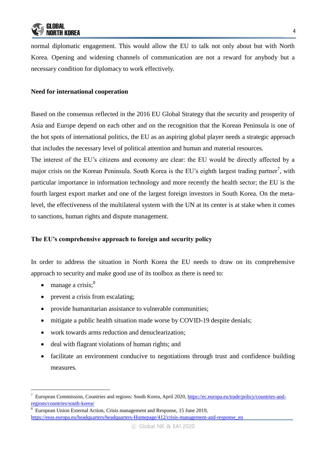normal diplomatic engagement. This would allow the EU to talk not only about but with North Korea. Opening and widening channels of communication are not a reward for anybody but a necessary condition for diplomacy to work effectively.

## **Need for international cooperation**

Based on the consensus reflected in the 2016 EU Global Strategy that the security and prosperity of Asia and Europe depend on each other and on the recognition that the Korean Peninsula is one of the hot spots of international politics, the EU as an aspiring global player needs a strategic approach that includes the necessary level of political attention and human and material resources.

The interest of the EU's citizens and economy are clear: the EU would be directly affected by a major crisis on the Korean Peninsula. South Korea is the EU's eighth largest trading partner<sup>7</sup>, with particular importance in information technology and more recently the health sector; the EU is the fourth largest export market and one of the largest foreign investors in South Korea. On the metalevel, the effectiveness of the multilateral system with the UN at its center is at stake when it comes to sanctions, human rights and dispute management.

## **The EU's comprehensive approach to foreign and security policy**

In order to address the situation in North Korea the EU needs to draw on its comprehensive approach to security and make good use of its toolbox as there is need to:

 $\bullet$  manage a crisis;<sup>8</sup>

-

- prevent a crisis from escalating;
- provide humanitarian assistance to vulnerable communities;
- mitigate a public health situation made worse by COVID-19 despite denials;
- work towards arms reduction and denuclearization;
- deal with flagrant violations of human rights; and
- facilitate an environment conducive to negotiations through trust and confidence building measures.

<sup>&</sup>lt;sup>7</sup> European Commission, Countries and regions: South Korea, April 2020[, https://ec.europa.eu/trade/policy/countries-and](https://ec.europa.eu/trade/policy/countries-and-regions/countries/south-korea/)[regions/countries/south-korea/](https://ec.europa.eu/trade/policy/countries-and-regions/countries/south-korea/)

<sup>8</sup> European Union External Action, Crisis management and Response, 15 June 2019, [https://eeas.europa.eu/headquarters/headquarters-Homepage/412/crisis-management-and-response\\_en](https://eeas.europa.eu/headquarters/headquarters-Homepage/412/crisis-management-and-response_en)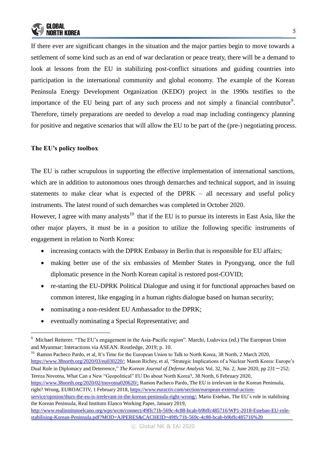

If there ever are significant changes in the situation and the major parties begin to move towards a settlement of some kind such as an end of war declaration or peace treaty, there will be a demand to look at lessons from the EU in stabilizing post-conflict situations and guiding countries into participation in the international community and global economy. The example of the Korean Peninsula Energy Development Organization (KEDO) project in the 1990s testifies to the importance of the EU being part of any such process and not simply a financial contributor<sup>9</sup>. Therefore, timely preparations are needed to develop a road map including contingency planning for positive and negative scenarios that will allow the EU to be part of the (pre-) negotiating process.

#### **The EU's policy toolbox**

-

The EU is rather scrupulous in supporting the effective implementation of international sanctions, which are in addition to autonomous ones through demarches and technical support, and in issuing statements to make clear what is expected of the DPRK – all necessary and useful policy instruments. The latest round of such demarches was completed in October 2020.

However, I agree with many analysts<sup>10</sup> that if the EU is to pursue its interests in East Asia, like the other major players, it must be in a position to utilize the following specific instruments of engagement in relation to North Korea:

- increasing contacts with the DPRK Embassy in Berlin that is responsible for EU affairs;
- making better use of the six embassies of Member States in Pyongyang, once the full diplomatic presence in the North Korean capital is restored post-COVID;
- re-starting the EU-DPRK Political Dialogue and using it for functional approaches based on common interest, like engaging in a human rights dialogue based on human security;
- nominating a non-resident EU Ambassador to the DPRK;
- eventually nominating a Special Representative; and

<sup>10</sup> Ramon Pacheco Pardo, et al, It's Time for the European Union to Talk to North Korea, 38 North, 2 March 2020, [https://www.38north.org/2020/03/eu030220/;](https://www.38north.org/2020/03/eu030220/) Mason Richey, et al, "Strategic Implications of a Nuclear North Korea: Europe's Dual Role in Diplomacy and Deterrence," *The Korean Journal of Defense Analysis Vol.* 32, No. 2, June 2020, pp 231-252; Tereza Novotna, What Can a New "Geopolitical" EU Do about North Korea?, 38 North, 6 February 2020,

[https://www.38north.org/2020/02/tnovotna020620/;](https://www.38north.org/2020/02/tnovotna020620/) Ramon Pacheco Pardo, The EU is irrelevant in the Korean Peninsula, right? Wrong, EUROACTIV, 1 February 2018, [https://www.euractiv.com/section/european-external-action-](https://www.euractiv.com/section/european-external-action-service/opinion/thurs-the-eu-is-irrelevant-in-the-korean-peninsula-right-wrong/)

[service/opinion/thurs-the-eu-is-irrelevant-in-the-korean-peninsula-right-wrong/;](https://www.euractiv.com/section/european-external-action-service/opinion/thurs-the-eu-is-irrelevant-in-the-korean-peninsula-right-wrong/) Mario Esteban, The EU´s role in stabilising the Korean Peninsula, Real Instituto Elanco Working Paper, January 2019,

<sup>&</sup>lt;sup>9</sup> Michael Reiterer. "The EU's engagement in the Asia-Pacific region". Marchi, Ludovica (ed.) The European Union and Myanmar: Interactions via ASEAN. Routledge, 2019; p. 10.

[http://www.realinstitutoelcano.org/wps/wcm/connect/49ffc71b-569c-4c88-bcab-b9bffc485716/WP1-2018-Esteban-EU-role](http://www.realinstitutoelcano.org/wps/wcm/connect/49ffc71b-569c-4c88-bcab-b9bffc485716/WP1-2018-Esteban-EU-role-stabilising-Korean-Peninsula.pdf?MOD=AJPERES&CACHEID=49ffc71b-569c-4c88-bcab-b9bffc485716%20)[stabilising-Korean-Peninsula.pdf?MOD=AJPERES&CACHEID=49ffc71b-569c-4c88-bcab-b9bffc485716%20](http://www.realinstitutoelcano.org/wps/wcm/connect/49ffc71b-569c-4c88-bcab-b9bffc485716/WP1-2018-Esteban-EU-role-stabilising-Korean-Peninsula.pdf?MOD=AJPERES&CACHEID=49ffc71b-569c-4c88-bcab-b9bffc485716%20)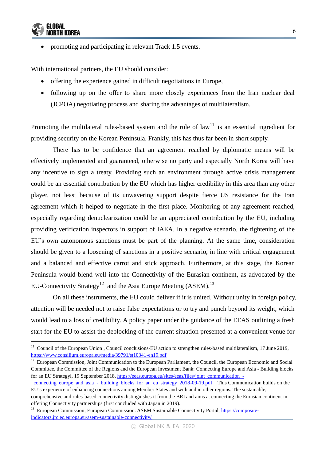

-

promoting and participating in relevant Track 1.5 events.

With international partners, the EU should consider:

- offering the experience gained in difficult negotiations in Europe,
- following up on the offer to share more closely experiences from the Iran nuclear deal (JCPOA) negotiating process and sharing the advantages of multilateralism.

Promoting the multilateral rules-based system and the rule of  $law<sup>11</sup>$  is an essential ingredient for providing security on the Korean Peninsula. Frankly, this has thus far been in short supply.

There has to be confidence that an agreement reached by diplomatic means will be effectively implemented and guaranteed, otherwise no party and especially North Korea will have any incentive to sign a treaty. Providing such an environment through active crisis management could be an essential contribution by the EU which has higher credibility in this area than any other player, not least because of its unwavering support despite fierce US resistance for the Iran agreement which it helped to negotiate in the first place. Monitoring of any agreement reached, especially regarding denuclearization could be an appreciated contribution by the EU, including providing verification inspectors in support of IAEA. In a negative scenario, the tightening of the EU's own autonomous sanctions must be part of the planning. At the same time, consideration should be given to a loosening of sanctions in a positive scenario, in line with critical engagement and a balanced and effective carrot and stick approach. Furthermore, at this stage, the Korean Peninsula would blend well into the Connectivity of the Eurasian continent, as advocated by the EU-Connectivity Strategy<sup>12</sup> and the Asia Europe Meeting (ASEM).<sup>13</sup>

On all these instruments, the EU could deliver if it is united. Without unity in foreign policy, attention will be needed not to raise false expectations or to try and punch beyond its weight, which would lead to a loss of credibility. A policy paper under the guidance of the EEAS outlining a fresh start for the EU to assist the deblocking of the current situation presented at a convenient venue for

<sup>&</sup>lt;sup>11</sup> Council of the European Union , Council conclusions-EU action to strengthen rules-based multilateralism, 17 June 2019, <https://www.consilium.europa.eu/media/39791/st10341-en19.pdf>

<sup>&</sup>lt;sup>12</sup> European Commission, Joint Communication to the European Parliament, the Council, the European Economic and Social Committee, the Committee of the Regions and the European Investment Bank: Connecting Europe and Asia - Building blocks for an EU Strategyl, 19 September 2018, [https://eeas.europa.eu/sites/eeas/files/joint\\_communication\\_-](https://eeas.europa.eu/sites/eeas/files/joint_communication_-_connecting_europe_and_asia_-_building_blocks_for_an_eu_strategy_2018-09-19.pdf)

[\\_connecting\\_europe\\_and\\_asia\\_-\\_building\\_blocks\\_for\\_an\\_eu\\_strategy\\_2018-09-19.pdf](https://eeas.europa.eu/sites/eeas/files/joint_communication_-_connecting_europe_and_asia_-_building_blocks_for_an_eu_strategy_2018-09-19.pdf) This Communication builds on the EU´s experience of enhancing connections among Member States and with and in other regions. The sustainable,

comprehensive and rules-based connectivity distinguishes it from the BRI and aims at connecting the Eurasian continent in offering Connectivity partnerships (first concluded with Japan in 2019).

<sup>&</sup>lt;sup>13</sup> European Commission, European Commission: ASEM Sustainable Connectivity Portal, [https://composite](https://composite-indicators.jrc.ec.europa.eu/asem-sustainable-connectivity/)[indicators.jrc.ec.europa.eu/asem-sustainable-connectivity/](https://composite-indicators.jrc.ec.europa.eu/asem-sustainable-connectivity/)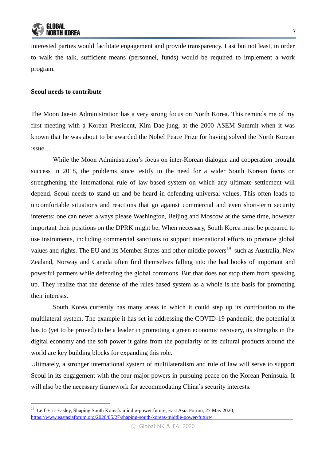interested parties would facilitate engagement and provide transparency. Last but not least, in order to walk the talk, sufficient means (personnel, funds) would be required to implement a work program.

#### **Seoul needs to contribute**

-

The Moon Jae-in Administration has a very strong focus on North Korea. This reminds me of my first meeting with a Korean President, Kim Dae-jung, at the 2000 ASEM Summit when it was known that he was about to be awarded the Nobel Peace Prize for having solved the North Korean issue…

While the Moon Administration's focus on inter-Korean dialogue and cooperation brought success in 2018, the problems since testify to the need for a wider South Korean focus on strengthening the international rule of law-based system on which any ultimate settlement will depend. Seoul needs to stand up and be heard in defending universal values. This often leads to uncomfortable situations and reactions that go against commercial and even short-term security interests: one can never always please Washington, Beijing and Moscow at the same time, however important their positions on the DPRK might be. When necessary, South Korea must be prepared to use instruments, including commercial sanctions to support international efforts to promote global values and rights. The EU and its Member States and other middle powers<sup>14</sup> such as Australia, New Zealand, Norway and Canada often find themselves falling into the bad books of important and powerful partners while defending the global commons. But that does not stop them from speaking up. They realize that the defense of the rules-based system as a whole is the basis for promoting their interests.

South Korea currently has many areas in which it could step up its contribution to the multilateral system. The example it has set in addressing the COVID-19 pandemic, the potential it has to (yet to be proved) to be a leader in promoting a green economic recovery, its strengths in the digital economy and the soft power it gains from the popularity of its cultural products around the world are key building blocks for expanding this role.

Ultimately, a stronger international system of multilateralism and rule of law will serve to support Seoul in its engagement with the four major powers in pursuing peace on the Korean Peninsula. It will also be the necessary framework for accommodating China's security interests.

<sup>&</sup>lt;sup>14</sup> Leif-Eric Easley, Shaping South Korea's middle-power future, East Asia Forum, 27 May 2020, <https://www.eastasiaforum.org/2020/05/27/shaping-south-koreas-middle-power-future/>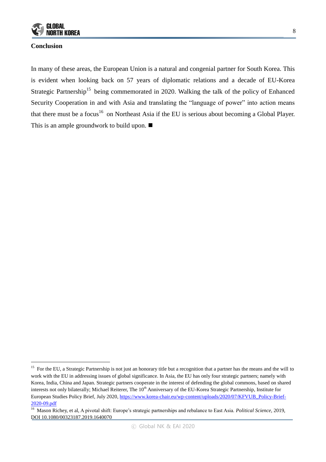

#### **Conclusion**

-

In many of these areas, the European Union is a natural and congenial partner for South Korea. This is evident when looking back on 57 years of diplomatic relations and a decade of EU-Korea Strategic Partnership<sup>15</sup> being commemorated in 2020. Walking the talk of the policy of Enhanced Security Cooperation in and with Asia and translating the "language of power" into action means that there must be a focus<sup>16</sup> on Northeast Asia if the EU is serious about becoming a Global Player. This is an ample groundwork to build upon. ■

<sup>&</sup>lt;sup>15</sup> For the EU, a Strategic Partnership is not just an honorary title but a recognition that a partner has the means and the will to work with the EU in addressing issues of global significance. In Asia, the EU has only four strategic partners; namely with Korea, India, China and Japan. Strategic partners cooperate in the interest of defending the global commons, based on shared interests not only bilaterally; Michael Reiterer, The  $10<sup>th</sup>$  Anniversary of the EU-Korea Strategic Partnership, Institute for European Studies Policy Brief, July 2020[, https://www.korea-chair.eu/wp-content/uploads/2020/07/KFVUB\\_Policy-Brief-](https://www.korea-chair.eu/wp-content/uploads/2020/07/KFVUB_Policy-Brief-2020-09.pdf)[2020-09.pdf](https://www.korea-chair.eu/wp-content/uploads/2020/07/KFVUB_Policy-Brief-2020-09.pdf)

<sup>16</sup> Mason Richey, et al, A pivotal shift: Europe's strategic partnerships and rebalance to East Asia. *Political Science*, 2019, DOI 10.1080/00323187.2019.1640070